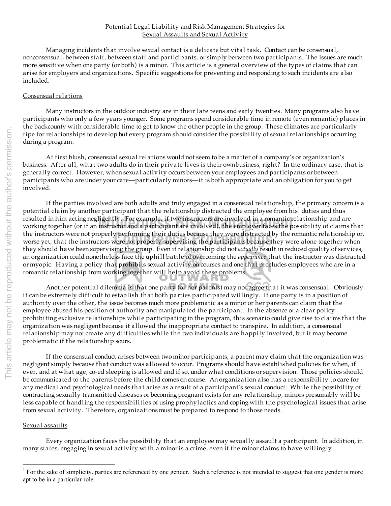## Potential Legal Liability and Risk Management Strategies for Sexual Assaults and Sexual Activity

Managing incidents that involve sexual contact is a delicate but vital task. Contact can be consensual, nonconsensual, between staff, between staff and participants, or simply between two participants. The issues are much more sensitive when one party (or both) is a minor. This article is a general overview of the types of claims that can arise for employers and organizations. Specific suggestions for preventing and responding to such incidents are also included.

## Consensual relations

Many instructors in the outdoor industry are in their late teens and early twenties. Many programs also have participants who only a few years younger. Some programs spend considerable time in remote (even romantic) places in the backcounty with considerable time to get to know the other people in the group. These climates are particularly ripe for relationships to develop but every program should consider the possibility of sexual relationships occurring during a program.

At first blush, consensual sexual relations would not seem to be a matter of a company's or organization's business. After all, what two adults do in their private lives is their own business, right? In the ordinary case, that is generally correct. However, when sexual activity occurs between your employees and participants or between participants who are under your care—particularly minors—it is both appropriate and an obligation for you to get involved.

the instructors were not properly performing their duties because they were distracted by the romantic relationship or<br>worse yet, that the instructors were not properly supervising the participants because they were alone resulted in him acting negligently. For example, if two instructors are involved in a romantic relationship and are<br>working together (or if an instructor and a participant are involved), the employer faces the possibility If the parties involved are both adults and truly engaged in a consensual relationship, the primary concern is a potential claim by another participant that the relationship distracted the employee from his<sup>1</sup> duties and thus resulted in him acting negligently. For example, if two instructors are involved in a romantic relationship and are the instructors were not properly performing their duties because they were distracted by the romantic relationship or, they should have been supervising the group. Even if relationship did not *actually* result in reduced quality of services, an organization could nonetheless face the uphill battle of overcoming the *appearance* that the instructor was distracted or myopic. Having a policy that prohibits sexual activity on courses and one that precludes employees who are in a romantic relationship from working together will help avoid these problems.

Another potential dilemma is that one party (or her parents) may not agree that it was consensual. Obviously it can be extremely difficult to establish that both parties participated willingly. If one party is in a position of authority over the other, the issue becomes much more problematic as a minor or her parents can claim that the employee abused his position of authority and manipulated the participant. In the absence of a clear policy prohibiting exclusive relationships while participating in the program, this scenario could give rise to claims that the organization was negligent because it allowed the inappropriate contact to transpire. In addition, a consensual relationship may not create any difficulties while the two individuals are happily involved, but it may become problematic if the relationship sours.

If the consensual conduct arises between two minor participants, a parent may claim that the organization was negligent simply because that conduct was allowed to occur. Programs should have established policies for when, if ever, and at what age, co-ed sleeping is allowed and if so, under what conditions or supervision. Those policies should be communicated to the parents before the child comes on course. An organization also has a responsibility to care for any medical and psychological needs that arise as a result of a participant's sexual conduct. While the possibility of contracting sexually transmitted diseases or becoming pregnant exists for any relationship, minors presumably will be less capable of handling the responsibilities of using prophylactics and coping with the psychological issues that arise from sexual activity. Therefore, organizations must be prepared to respond to those needs.

## Sexual assaults

Every organization faces the possibility that an employee may sexually assault a participant. In addition, in many states, engaging in sexual activity with a minor is a crime, even if the minor claims to have willingly

 $\frac{1}{1}$ <sup>1</sup> For the sake of simplicity, parties are referenced by one gender. Such a reference is not intended to suggest that one gender is more apt to be in a particular role.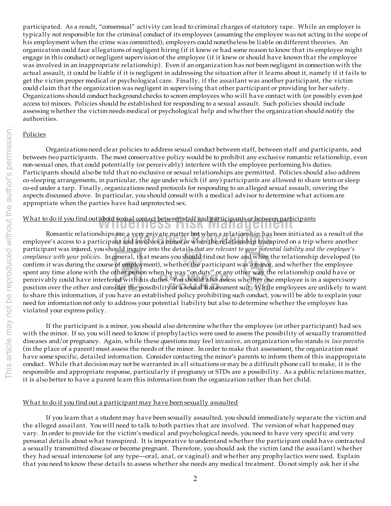participated. As a result, "consensual" activity can lead to criminal charges of statutory rape. While an employer is typically not responsible for the criminal conduct of its employees (assuming the employee was not acting in the scope of his employment when the crime was committed), employers could nonetheless be liable on different theories. An organization could face allegations of negligent hiring (if it knew or had some reason to know that its employee might engage in this conduct) or negligent supervision of the employee (if it knew or should have known that the employee was involved in an inappropriate relationship). Even if an organization has not been negligent in connection with the actual assault, it could be liable if it is negligent in addressing the situation after it learns about it, namely if it fails to get the victim proper medical or psychological care. Finally, if the assailant was another participant, the victim could claim that the organization was negligent in supervising that other participant or providing for her safety. Organizations should conduct background checks to screen employees who will have contact with (or possibly even just access to) minors. Policies should be established for responding to a sexual assault. Such policies should include assessing whether the victim needs medical or psychological help and whether the organization should notify the authorities.

#### Policies

Organizations need clear policies to address sexual conduct between staff, between staff and participants, and between two participants. The most conservative policy would be to prohibit any exclusive romantic relationship, even non-sexual ones, that could potentially (or perceivably) interfere with the employee performing his duties. Participants should also be told that no exclusive or sexual relationships are permitted. Policies should also address co-sleeping arrangements, in particular, the age under which (if any) participants are allowed to share tents or sleep co-ed under a tarp. Finally, organizations need protocols for responding to an alleged sexual assault, covering the aspects discussed above. In particular, you should consult with a medical advisor to determine what actions are appropriate when the parties have had unprotected sex.

# What to do if you find out about sexual contact between staff and participants or between participants

it is also better to have a parent learn this information from the organization rather than her child.

Romantic relationships are a very private matter but when a relationship has been initiated as a result of th<br>employee's access to a participant and involves a minor or when the relationship transpired on a trip where anot **Wilderness Risk Management** Romantic relationships are a very private matter but when a relationship has been initiated as a result of the participant was injured, you should inquire into the details *that are relevant to your potential liability and the employee's compliance with your policies*. In general, that means you should find out how and when the relationship developed (to confirm it was during the course of employment), whether the participant was a minor, and whether the employee spent any time alone with the other person when he was "on duty" or any other way the relationship could have or perceivably could have interfered with his duties. You should also assess whether one employee is in a supervisory position over the other and consider the possibility of a sexual harassment suit. While employees are unlikely to want to share this information, if you have an established policy prohibiting such conduct, you will be able to explain your need for information not only to address your potential liability but also to determine whether the employee has

violated your express policy. If the participant is a minor, you should also determine whether the employee (or other participant) had sex with the minor. If so, you will need to know if prophylactics were used to assess the possibility of sexually transmitted diseases and/or pregnancy. Again, while these questions may feel invasive, an organization who stands *in loco parentis* (in the place of a parent) must assess the needs of the minor. In order to make that assessment, the organization must have some specific, detailed information. Consider contacting the minor's parents to inform them of this inappropriate conduct. While that decision may not be warranted in all situations or may be a difficult phone call to make, it is the responsible and appropriate response, particularly if pregnancy or STDs are a possibility. As a public relations matter,

# What to do if you find out a participant may have been sexually assaulted

If you learn that a student may have been sexually assaulted, you should immediately separate the victim and the alleged assailant. You will need to talk to both parties that are involved. The version of what happened may vary. In order to provide for the victim's medical and psychological needs, you need to have very specific and very personal details about what transpired. It is imperative to understand whether the participant could have contracted a sexually transmitted disease or become pregnant. Therefore, you should ask the victim (and the assailant) whether they had sexual intercourse (of any type—oral, anal, or vaginal) and whether any prophylactics were used. Explain that you need to know these details to assess whether she needs any medical treatment. Do not simply ask her if she